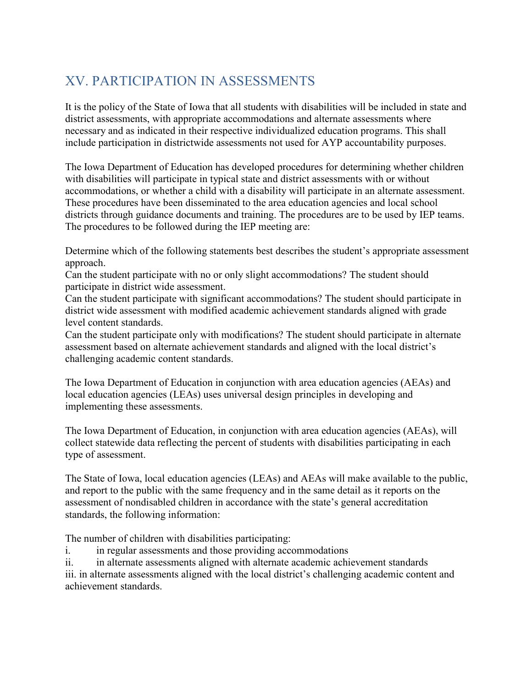## XV. PARTICIPATION IN ASSESSMENTS

It is the policy of the State of Iowa that all students with disabilities will be included in state and district assessments, with appropriate accommodations and alternate assessments where necessary and as indicated in their respective individualized education programs. This shall include participation in districtwide assessments not used for AYP accountability purposes.

The Iowa Department of Education has developed procedures for determining whether children with disabilities will participate in typical state and district assessments with or without accommodations, or whether a child with a disability will participate in an alternate assessment. These procedures have been disseminated to the area education agencies and local school districts through guidance documents and training. The procedures are to be used by IEP teams. The procedures to be followed during the IEP meeting are:

Determine which of the following statements best describes the student's appropriate assessment approach.

Can the student participate with no or only slight accommodations? The student should participate in district wide assessment.

Can the student participate with significant accommodations? The student should participate in district wide assessment with modified academic achievement standards aligned with grade level content standards.

Can the student participate only with modifications? The student should participate in alternate assessment based on alternate achievement standards and aligned with the local district's challenging academic content standards.

The Iowa Department of Education in conjunction with area education agencies (AEAs) and local education agencies (LEAs) uses universal design principles in developing and implementing these assessments.

The Iowa Department of Education, in conjunction with area education agencies (AEAs), will collect statewide data reflecting the percent of students with disabilities participating in each type of assessment.

The State of Iowa, local education agencies (LEAs) and AEAs will make available to the public, and report to the public with the same frequency and in the same detail as it reports on the assessment of nondisabled children in accordance with the state's general accreditation standards, the following information:

The number of children with disabilities participating:

i. in regular assessments and those providing accommodations

ii. in alternate assessments aligned with alternate academic achievement standards iii. in alternate assessments aligned with the local district's challenging academic content and achievement standards.